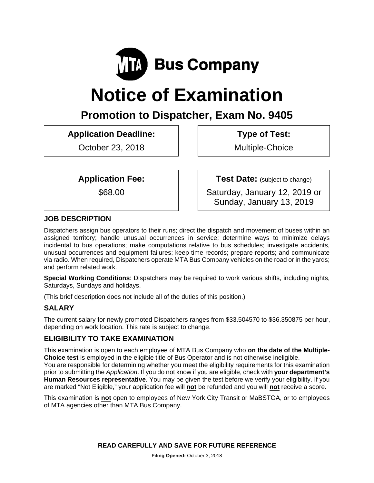

# **Notice of Examination**

# **Promotion to Dispatcher, Exam No. 9405**

# **Application Deadline:**

October 23, 2018

 **Type of Test:** 

Multiple-Choice

**Application Fee:** 

\$68.00

**Test Date:** (subject to change)

Saturday, January 12, 2019 or Sunday, January 13, 2019

# **JOB DESCRIPTION**

Dispatchers assign bus operators to their runs; direct the dispatch and movement of buses within an assigned territory; handle unusual occurrences in service; determine ways to minimize delays incidental to bus operations; make computations relative to bus schedules; investigate accidents, unusual occurrences and equipment failures; keep time records; prepare reports; and communicate via radio. When required, Dispatchers operate MTA Bus Company vehicles on the road or in the yards; and perform related work.

**Special Working Conditions**: Dispatchers may be required to work various shifts, including nights, Saturdays, Sundays and holidays.

(This brief description does not include all of the duties of this position.)

# **SALARY**

The current salary for newly promoted Dispatchers ranges from \$33.504570 to \$36.350875 per hour, depending on work location. This rate is subject to change.

# **ELIGIBILITY TO TAKE EXAMINATION**

This examination is open to each employee of MTA Bus Company who **on the date of the Multiple-Choice test** is employed in the eligible title of Bus Operator and is not otherwise ineligible.

You are responsible for determining whether you meet the eligibility requirements for this examination prior to submitting the *Application*. If you do not know if you are eligible, check with **your department's Human Resources representative**. You may be given the test before we verify your eligibility. If you are marked "Not Eligible," your application fee will **not** be refunded and you will **not** receive a score.

This examination is **not** open to employees of New York City Transit or MaBSTOA, or to employees of MTA agencies other than MTA Bus Company.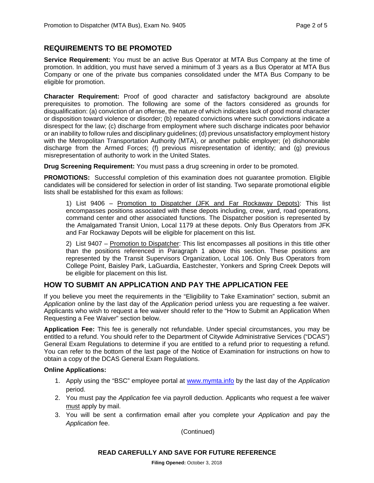#### **REQUIREMENTS TO BE PROMOTED**

**Service Requirement:** You must be an active Bus Operator at MTA Bus Company at the time of promotion. In addition, you must have served a minimum of 3 years as a Bus Operator at MTA Bus Company or one of the private bus companies consolidated under the MTA Bus Company to be eligible for promotion.

**Character Requirement:** Proof of good character and satisfactory background are absolute prerequisites to promotion. The following are some of the factors considered as grounds for disqualification: (a) conviction of an offense, the nature of which indicates lack of good moral character or disposition toward violence or disorder; (b) repeated convictions where such convictions indicate a disrespect for the law; (c) discharge from employment where such discharge indicates poor behavior or an inability to follow rules and disciplinary guidelines; (d) previous unsatisfactory employment history with the Metropolitan Transportation Authority (MTA), or another public employer; (e) dishonorable discharge from the Armed Forces; (f) previous misrepresentation of identity; and (g) previous misrepresentation of authority to work in the United States.

**Drug Screening Requirement:** You must pass a drug screening in order to be promoted.

**PROMOTIONS:** Successful completion of this examination does not guarantee promotion. Eligible candidates will be considered for selection in order of list standing. Two separate promotional eligible lists shall be established for this exam as follows:

1) List 9406 – Promotion to Dispatcher (JFK and Far Rockaway Depots): This list encompasses positions associated with these depots including, crew, yard, road operations, command center and other associated functions. The Dispatcher position is represented by the Amalgamated Transit Union, Local 1179 at these depots. Only Bus Operators from JFK and Far Rockaway Depots will be eligible for placement on this list.

2) List 9407 – Promotion to Dispatcher: This list encompasses all positions in this title other than the positions referenced in Paragraph 1 above this section. These positions are represented by the Transit Supervisors Organization, Local 106. Only Bus Operators from College Point, Baisley Park, LaGuardia, Eastchester, Yonkers and Spring Creek Depots will be eligible for placement on this list.

#### **HOW TO SUBMIT AN APPLICATION AND PAY THE APPLICATION FEE**

If you believe you meet the requirements in the "Eligibility to Take Examination" section, submit an *Application* online by the last day of the *Application* period unless you are requesting a fee waiver. Applicants who wish to request a fee waiver should refer to the "How to Submit an Application When Requesting a Fee Waiver" section below.

**Application Fee:** This fee is generally not refundable. Under special circumstances, you may be entitled to a refund. You should refer to the Department of Citywide Administrative Services ("DCAS") General Exam Regulations to determine if you are entitled to a refund prior to requesting a refund. You can refer to the bottom of the last page of the Notice of Examination for instructions on how to obtain a copy of the DCAS General Exam Regulations.

#### **Online Applications:**

- 1. Apply using the "BSC" employee portal at www.mymta.info by the last day of the *Application*  period.
- 2. You must pay the *Application* fee via payroll deduction. Applicants who request a fee waiver must apply by mail.
- 3. You will be sent a confirmation email after you complete your *Application* and pay the *Application* fee.

(Continued)

#### **READ CAREFULLY AND SAVE FOR FUTURE REFERENCE**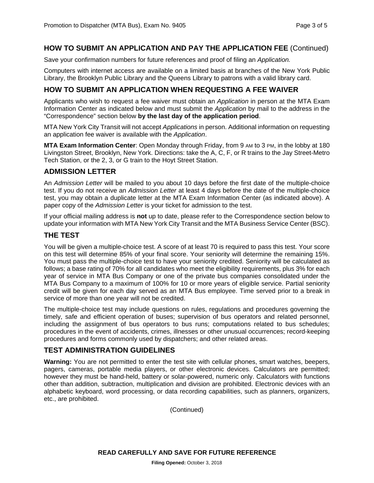#### **HOW TO SUBMIT AN APPLICATION AND PAY THE APPLICATION FEE** (Continued)

Save your confirmation numbers for future references and proof of filing an *Application.*

Computers with internet access are available on a limited basis at branches of the New York Public Library, the Brooklyn Public Library and the Queens Library to patrons with a valid library card.

### **HOW TO SUBMIT AN APPLICATION WHEN REQUESTING A FEE WAIVER**

Applicants who wish to request a fee waiver must obtain an *Application* in person at the MTA Exam Information Center as indicated below and must submit the *Application* by mail to the address in the "Correspondence" section below **by the last day of the application period**.

MTA New York City Transit will not accept *Applications* in person. Additional information on requesting an application fee waiver is available with the *Application*.

**MTA Exam Information Center**: Open Monday through Friday, from 9 AM to 3 PM, in the lobby at 180 Livingston Street, Brooklyn, New York. Directions: take the A, C, F, or R trains to the Jay Street-Metro Tech Station, or the 2, 3, or G train to the Hoyt Street Station.

#### **ADMISSION LETTER**

An *Admission Letter* will be mailed to you about 10 days before the first date of the multiple-choice test. If you do not receive an *Admission Letter* at least 4 days before the date of the multiple-choice test, you may obtain a duplicate letter at the MTA Exam Information Center (as indicated above). A paper copy of the *Admission Letter* is your ticket for admission to the test.

If your official mailing address is **not** up to date, please refer to the Correspondence section below to update your information with MTA New York City Transit and the MTA Business Service Center (BSC).

#### **THE TEST**

You will be given a multiple-choice test. A score of at least 70 is required to pass this test. Your score on this test will determine 85% of your final score. Your seniority will determine the remaining 15%. You must pass the multiple-choice test to have your seniority credited. Seniority will be calculated as follows; a base rating of 70% for all candidates who meet the eligibility requirements, plus 3% for each year of service in MTA Bus Company or one of the private bus companies consolidated under the MTA Bus Company to a maximum of 100% for 10 or more years of eligible service. Partial seniority credit will be given for each day served as an MTA Bus employee. Time served prior to a break in service of more than one year will not be credited.

The multiple-choice test may include questions on rules, regulations and procedures governing the timely, safe and efficient operation of buses; supervision of bus operators and related personnel, including the assignment of bus operators to bus runs; computations related to bus schedules; procedures in the event of accidents, crimes, illnesses or other unusual occurrences; record-keeping procedures and forms commonly used by dispatchers; and other related areas.

#### **TEST ADMINISTRATION GUIDELINES**

**Warning:** You are not permitted to enter the test site with cellular phones, smart watches, beepers, pagers, cameras, portable media players, or other electronic devices. Calculators are permitted; however they must be hand-held, battery or solar-powered, numeric only. Calculators with functions other than addition, subtraction, multiplication and division are prohibited. Electronic devices with an alphabetic keyboard, word processing, or data recording capabilities, such as planners, organizers, etc., are prohibited.

(Continued)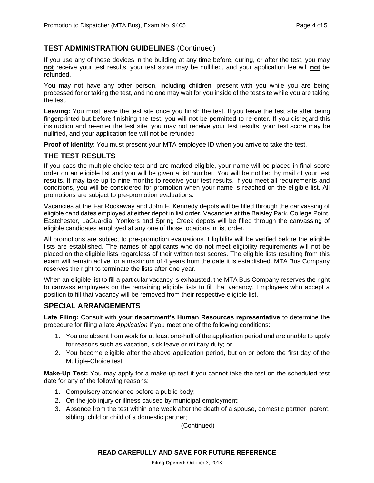#### **TEST ADMINISTRATION GUIDELINES** (Continued)

If you use any of these devices in the building at any time before, during, or after the test, you may **not** receive your test results, your test score may be nullified, and your application fee will **not** be refunded.

You may not have any other person, including children, present with you while you are being processed for or taking the test, and no one may wait for you inside of the test site while you are taking the test.

**Leaving:** You must leave the test site once you finish the test. If you leave the test site after being fingerprinted but before finishing the test, you will not be permitted to re-enter. If you disregard this instruction and re-enter the test site, you may not receive your test results, your test score may be nullified, and your application fee will not be refunded

**Proof of Identity**: You must present your MTA employee ID when you arrive to take the test.

#### **THE TEST RESULTS**

If you pass the multiple-choice test and are marked eligible, your name will be placed in final score order on an eligible list and you will be given a list number. You will be notified by mail of your test results. It may take up to nine months to receive your test results. If you meet all requirements and conditions, you will be considered for promotion when your name is reached on the eligible list. All promotions are subject to pre-promotion evaluations.

Vacancies at the Far Rockaway and John F. Kennedy depots will be filled through the canvassing of eligible candidates employed at either depot in list order. Vacancies at the Baisley Park, College Point, Eastchester, LaGuardia, Yonkers and Spring Creek depots will be filled through the canvassing of eligible candidates employed at any one of those locations in list order.

All promotions are subject to pre-promotion evaluations. Eligibility will be verified before the eligible lists are established. The names of applicants who do not meet eligibility requirements will not be placed on the eligible lists regardless of their written test scores. The eligible lists resulting from this exam will remain active for a maximum of 4 years from the date it is established. MTA Bus Company reserves the right to terminate the lists after one year.

When an eligible list to fill a particular vacancy is exhausted, the MTA Bus Company reserves the right to canvass employees on the remaining eligible lists to fill that vacancy. Employees who accept a position to fill that vacancy will be removed from their respective eligible list.

#### **SPECIAL ARRANGEMENTS**

**Late Filing:** Consult with **your department's Human Resources representative** to determine the procedure for filing a late *Application* if you meet one of the following conditions:

- 1. You are absent from work for at least one-half of the application period and are unable to apply for reasons such as vacation, sick leave or military duty; or
- 2. You become eligible after the above application period, but on or before the first day of the Multiple-Choice test.

**Make-Up Test:** You may apply for a make-up test if you cannot take the test on the scheduled test date for any of the following reasons:

- 1. Compulsory attendance before a public body;
- 2. On-the-job injury or illness caused by municipal employment;
- 3. Absence from the test within one week after the death of a spouse, domestic partner, parent, sibling, child or child of a domestic partner;

(Continued)

#### **READ CAREFULLY AND SAVE FOR FUTURE REFERENCE**